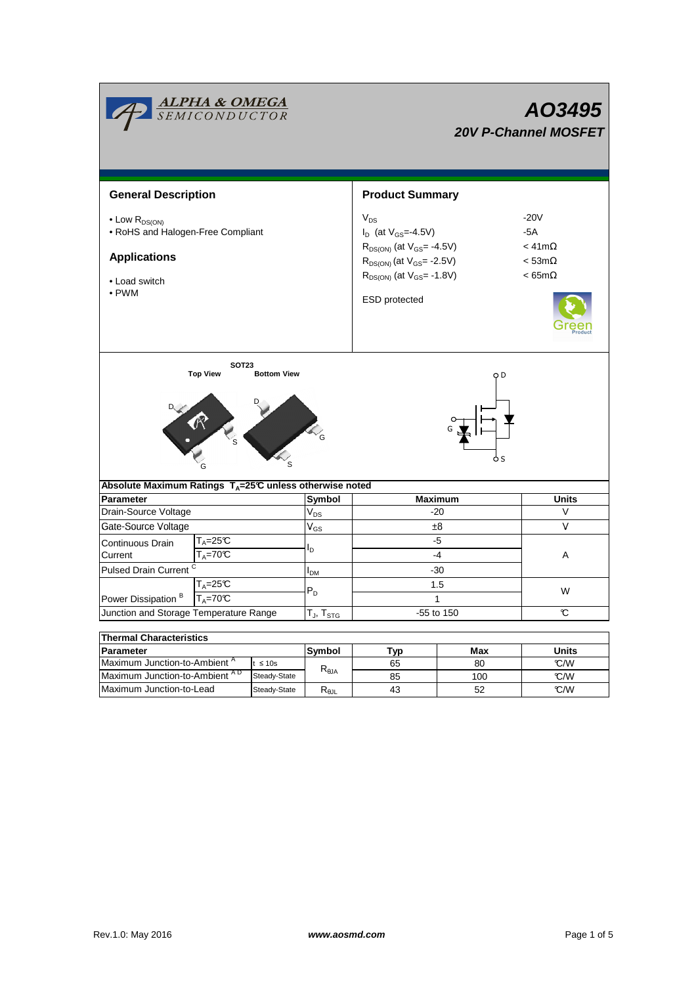|                                                                                                                          | <b>ALPHA &amp; OMEGA</b><br>SEMICONDUCTOR |                |                          | AO3495<br><b>20V P-Channel MOSFET</b>                                                                                                                                               |                                                                          |              |  |  |  |
|--------------------------------------------------------------------------------------------------------------------------|-------------------------------------------|----------------|--------------------------|-------------------------------------------------------------------------------------------------------------------------------------------------------------------------------------|--------------------------------------------------------------------------|--------------|--|--|--|
| <b>General Description</b>                                                                                               |                                           |                | <b>Product Summary</b>   |                                                                                                                                                                                     |                                                                          |              |  |  |  |
| $\bullet$ Low $R_{DS(ON)}$<br>• RoHS and Halogen-Free Compliant<br><b>Applications</b><br>• Load switch<br>$\bullet$ PWM |                                           |                |                          | $V_{DS}$<br>$I_D$ (at $V_{GS} = -4.5V$ )<br>$R_{DS(ON)}$ (at $V_{GS} = -4.5V$ )<br>$R_{DS(ON)}$ (at $V_{GS}$ = -2.5V)<br>$R_{DS(ON)}$ (at $V_{GS}$ = -1.8V)<br><b>ESD</b> protected | $-20V$<br>$-5A$<br>$<$ 41m $\Omega$<br>$<$ 53m $\Omega$<br>$< 65m\Omega$ |              |  |  |  |
| <b>SOT23</b><br><b>Top View</b><br><b>Bottom View</b><br>O D<br>o s                                                      |                                           |                |                          |                                                                                                                                                                                     |                                                                          |              |  |  |  |
| Absolute Maximum Ratings T <sub>A</sub> =25℃ unless otherwise noted<br><b>Parameter</b>                                  |                                           |                | Symbol                   | <b>Maximum</b>                                                                                                                                                                      |                                                                          | <b>Units</b> |  |  |  |
| Drain-Source Voltage                                                                                                     |                                           |                | $V_{DS}$                 | $-20$                                                                                                                                                                               |                                                                          | V            |  |  |  |
| Gate-Source Voltage                                                                                                      |                                           |                | $V_{GS}$                 | ±8                                                                                                                                                                                  |                                                                          | V            |  |  |  |
| Continuous Drain<br>Current<br>Pulsed Drain Current <sup>C</sup>                                                         | $T_A = 25C$<br>$T_A = 70C$                |                |                          | -5<br>$-4$<br>$-30$                                                                                                                                                                 |                                                                          | A            |  |  |  |
| $T_A = 25C$<br>$T_A = 70^\circ C$<br>Power Dissipation <sup>B</sup>                                                      |                                           |                | I <sub>DМ</sub><br>$P_D$ | 1.5<br>$\mathbf{1}$                                                                                                                                                                 |                                                                          | W            |  |  |  |
| Junction and Storage Temperature Range                                                                                   |                                           |                | $T_J$ , $T_{STG}$        | -55 to 150                                                                                                                                                                          |                                                                          | C            |  |  |  |
| <b>Thermal Characteristics</b>                                                                                           |                                           |                |                          |                                                                                                                                                                                     |                                                                          |              |  |  |  |
| Parameter<br>Maximum Junction-to-Ambient <sup>A</sup>                                                                    |                                           |                | Symbol                   | <b>Typ</b>                                                                                                                                                                          | Max                                                                      | <b>Units</b> |  |  |  |
| $t \leq 10s$<br>Maximum Junction-to-Ambient AD<br>Steady-State                                                           |                                           | $R_{\theta$ JA | 65<br>85                 | 80<br>100                                                                                                                                                                           | °C/W<br>°C/W                                                             |              |  |  |  |

Maximum Junction-to-Lead

Steady-State R<sub>θJL</sub> 43 52 C/W

52

43

 $\overline{\phantom{a}}$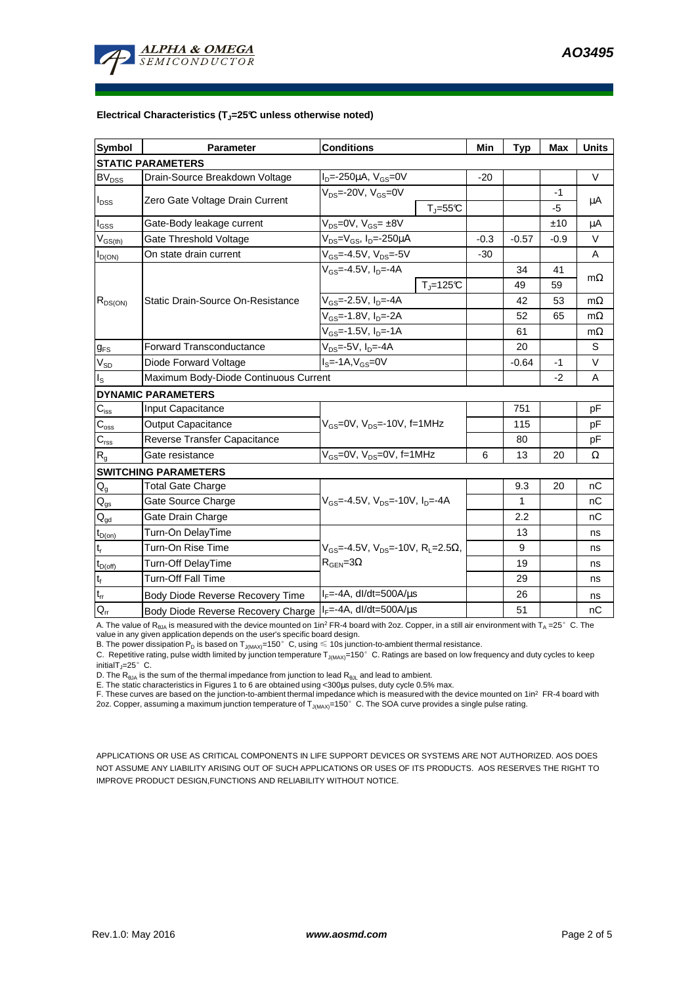

#### **Electrical Characteristics (TJ=25°C unless otherwise noted)**

| <b>Symbol</b>                           | <b>Parameter</b>                                               | <b>Conditions</b>                                               | Min    | <b>Typ</b> | <b>Max</b> | <b>Units</b> |  |  |  |  |  |
|-----------------------------------------|----------------------------------------------------------------|-----------------------------------------------------------------|--------|------------|------------|--------------|--|--|--|--|--|
| <b>STATIC PARAMETERS</b>                |                                                                |                                                                 |        |            |            |              |  |  |  |  |  |
| <b>BV<sub>DSS</sub></b>                 | Drain-Source Breakdown Voltage                                 | $I_D$ =-250µA, $V_{GS}$ =0V                                     | $-20$  |            |            | $\vee$       |  |  |  |  |  |
| $I_{DSS}$                               | Zero Gate Voltage Drain Current                                | $V_{DS}$ =-20V, $V_{GS}$ =0V                                    |        |            | $-1$       | $\mu$ A      |  |  |  |  |  |
|                                         |                                                                | $T_{\parallel} = 55$ °C                                         |        |            | -5         |              |  |  |  |  |  |
| $I_{GSS}$                               | Gate-Body leakage current                                      | $V_{DS} = 0V$ , $V_{GS} = \pm 8V$                               |        |            | ±10        | μA           |  |  |  |  |  |
| $\mathsf{V}_{\mathsf{GS}(\mathsf{th})}$ | Gate Threshold Voltage                                         | $V_{DS}$ = $V_{GS}$ , I <sub>D</sub> =-250µA                    | $-0.3$ | -0.57      | -0.9       | V            |  |  |  |  |  |
| $I_{D(ON)}$                             | On state drain current                                         | $V_{GS}$ =-4.5V, $V_{DS}$ =-5V                                  | $-30$  |            |            | A            |  |  |  |  |  |
| $R_{DS(ON)}$                            |                                                                | $V_{GS}$ =-4.5V, $I_D$ =-4A                                     |        | 34         | 41         | $m\Omega$    |  |  |  |  |  |
|                                         |                                                                | $T_i = 125C$                                                    |        | 49         | 59         |              |  |  |  |  |  |
|                                         | Static Drain-Source On-Resistance                              | $V_{GS}$ =-2.5V, $I_{D}$ =-4A                                   |        | 42         | 53         | $m\Omega$    |  |  |  |  |  |
|                                         |                                                                | $V_{GS}$ =-1.8V, I <sub>D</sub> =-2A                            |        | 52         | 65         | $m\Omega$    |  |  |  |  |  |
|                                         |                                                                | $\overline{V_{GS}} = -1.5V, I_D = -1A$                          |        | 61         |            | $m\Omega$    |  |  |  |  |  |
| $g_{FS}$                                | $V_{DS}$ =-5V, $I_{D}$ =-4A<br><b>Forward Transconductance</b> |                                                                 |        | 20         |            | S            |  |  |  |  |  |
| $V_{SD}$                                | Diode Forward Voltage                                          | $IS=-1A, VGS=0V$                                                |        | $-0.64$    | -1         | V            |  |  |  |  |  |
| $I_{\rm S}$                             | Maximum Body-Diode Continuous Current                          |                                                                 |        | $-2$       | A          |              |  |  |  |  |  |
|                                         | <b>DYNAMIC PARAMETERS</b>                                      |                                                                 |        |            |            |              |  |  |  |  |  |
| $C_{iss}$                               | <b>Input Capacitance</b>                                       |                                                                 |        | 751        |            | pF           |  |  |  |  |  |
| $\overline{C}_{\underline{\rm oss}}$    | <b>Output Capacitance</b>                                      | $V_{GS}$ =0V, $V_{DS}$ =-10V, f=1MHz                            |        | 115        |            | pF           |  |  |  |  |  |
| $C_{\text{rss}}$                        | Reverse Transfer Capacitance                                   |                                                                 |        | 80         |            | pF           |  |  |  |  |  |
| $R_{g}$                                 | Gate resistance                                                | $V_{GS}$ =0V, $V_{DS}$ =0V, f=1MHz                              | 6      | 13         | 20         | Ω            |  |  |  |  |  |
|                                         | <b>SWITCHING PARAMETERS</b>                                    |                                                                 |        |            |            |              |  |  |  |  |  |
| $Q_g$                                   | <b>Total Gate Charge</b>                                       |                                                                 |        | 9.3        | 20         | nC           |  |  |  |  |  |
| $\mathsf{Q}_{\text{gs}}$                | Gate Source Charge                                             | $V_{GS}$ =-4.5V, $V_{DS}$ =-10V, $I_{D}$ =-4A                   |        | 1          |            | nC           |  |  |  |  |  |
| $\mathsf{Q}_{\text{gd}}$                | Gate Drain Charge                                              |                                                                 |        | 2.2        |            | nC           |  |  |  |  |  |
| $t_{D(on)}$                             | Turn-On DelayTime                                              |                                                                 |        | 13         |            | ns           |  |  |  |  |  |
| $t_r$                                   | Turn-On Rise Time                                              | $V_{GS}$ =-4.5V, $V_{DS}$ =-10V, R <sub>1</sub> =2.5 $\Omega$ , |        | 9          |            | ns           |  |  |  |  |  |
| $t_{D(off)}$                            | Turn-Off DelayTime                                             | $R_{\text{GFN}} = 3\Omega$                                      |        | 19         |            | ns           |  |  |  |  |  |
| $\mathbf{t}_\text{f}$                   | <b>Turn-Off Fall Time</b>                                      |                                                                 |        | 29         |            | ns           |  |  |  |  |  |
| $t_{rr}$                                | Body Diode Reverse Recovery Time                               | $I_F = -4A$ , dl/dt=500A/ $\mu$ s                               |        | 26         |            | ns           |  |  |  |  |  |
| $Q_{rr}$                                | Body Diode Reverse Recovery Charge   IF=-4A, dl/dt=500A/us     |                                                                 |        | 51         |            | nC           |  |  |  |  |  |

A. The value of  $R_{\theta_0A}$  is measured with the device mounted on 1in<sup>2</sup> FR-4 board with 2oz. Copper, in a still air environment with T<sub>A</sub> =25°C. The

value in any given application depends on the user's specific board design.<br>B. The power dissipation P<sub>D</sub> is based on T<sub>J(MAX)</sub>=150°C, using ≤ 10s junction-to-ambient thermal resistance.

C. Repetitive rating, pulse width limited by junction temperature T<sub>J(MAX)</sub>=150°C. Ratings are based on low frequency and duty cycles to keep initialT<sub>J</sub>=25 $^{\circ}$  C.

D. The  $R_{\theta JA}$  is the sum of the thermal impedance from junction to lead  $R_{\theta JL}$  and lead to ambient.

E. The static characteristics in Figures 1 to 6 are obtained using <300µs pulses, duty cycle 0.5% max.

F. These curves are based on the junction-to-ambient thermal impedance which is measured with the device mounted on 1in<sup>2</sup> FR-4 board with 2oz. Copper, assuming a maximum junction temperature of  $T_{J(MAX)}$ =150°C. The SOA curve provides a single pulse rating.

APPLICATIONS OR USE AS CRITICAL COMPONENTS IN LIFE SUPPORT DEVICES OR SYSTEMS ARE NOT AUTHORIZED. AOS DOES NOT ASSUME ANY LIABILITY ARISING OUT OF SUCH APPLICATIONS OR USES OF ITS PRODUCTS. AOS RESERVES THE RIGHT TO IMPROVE PRODUCT DESIGN,FUNCTIONS AND RELIABILITY WITHOUT NOTICE.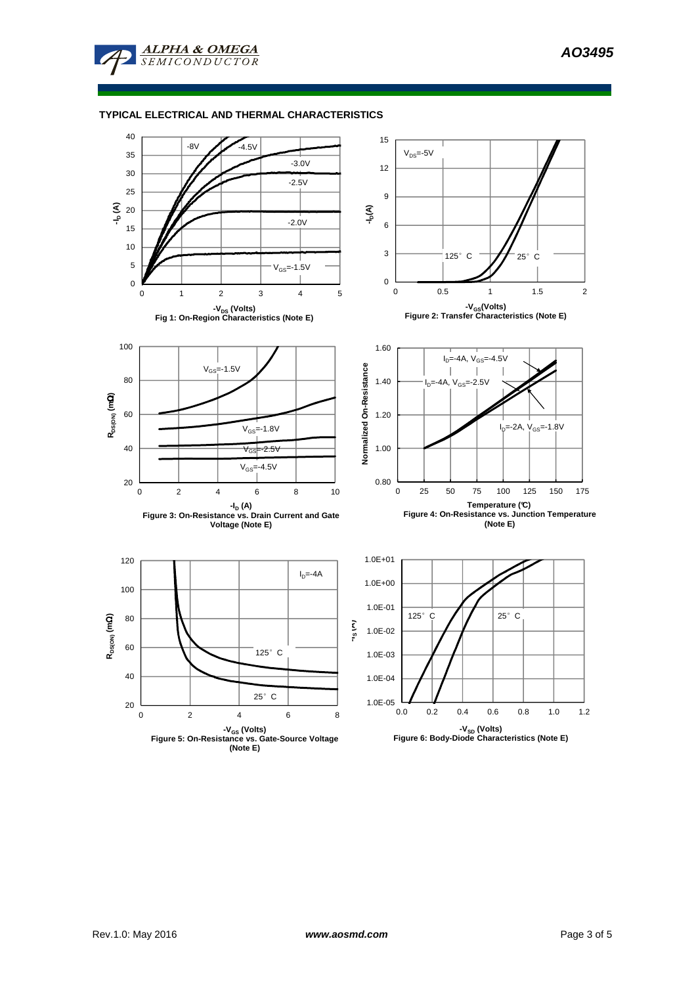

# **TYPICAL ELECTRICAL AND THERMAL CHARACTERISTICS**

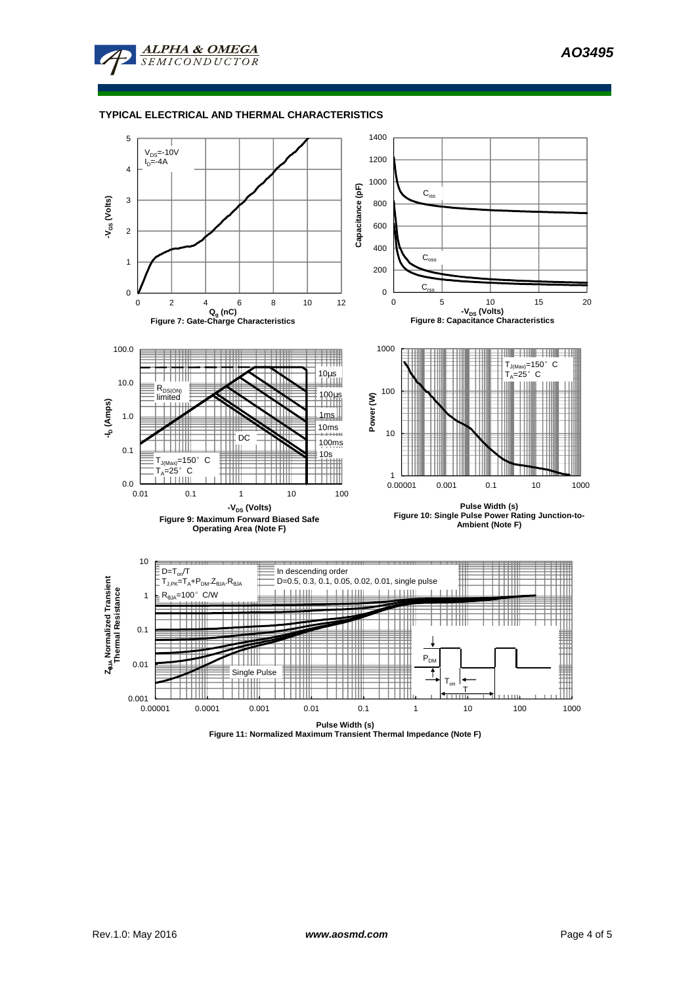

### **TYPICAL ELECTRICAL AND THERMAL CHARACTERISTICS**